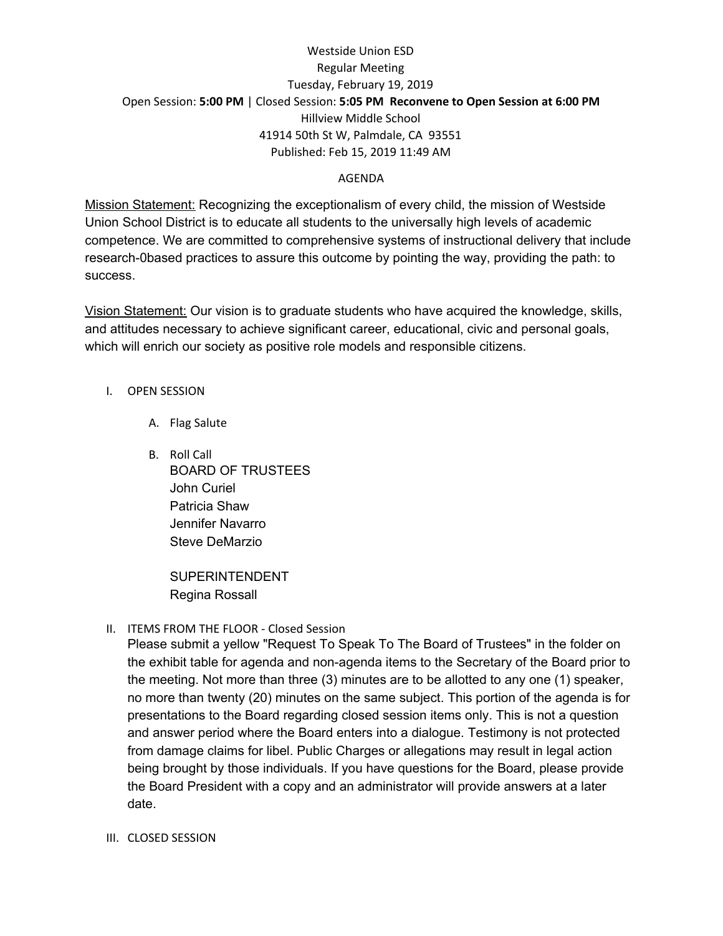## Westside Union ESD Regular Meeting Tuesday, February 19, 2019 Open Session: **5:00 PM** | Closed Session: **5:05 PM Reconvene to Open Session at 6:00 PM** Hillview Middle School 41914 50th St W, Palmdale, CA 93551 Published: Feb 15, 2019 11:49 AM

### AGENDA

Mission Statement: Recognizing the exceptionalism of every child, the mission of Westside Union School District is to educate all students to the universally high levels of academic competence. We are committed to comprehensive systems of instructional delivery that include research-0based practices to assure this outcome by pointing the way, providing the path: to success.

Vision Statement: Our vision is to graduate students who have acquired the knowledge, skills, and attitudes necessary to achieve significant career, educational, civic and personal goals, which will enrich our society as positive role models and responsible citizens.

- I. OPEN SESSION
	- A. Flag Salute
	- B. Roll Call BOARD OF TRUSTEES John Curiel Patricia Shaw Jennifer Navarro Steve DeMarzio

SUPERINTENDENT Regina Rossall

II. ITEMS FROM THE FLOOR - Closed Session

Please submit a yellow "Request To Speak To The Board of Trustees" in the folder on the exhibit table for agenda and non-agenda items to the Secretary of the Board prior to the meeting. Not more than three (3) minutes are to be allotted to any one (1) speaker, no more than twenty (20) minutes on the same subject. This portion of the agenda is for presentations to the Board regarding closed session items only. This is not a question and answer period where the Board enters into a dialogue. Testimony is not protected from damage claims for libel. Public Charges or allegations may result in legal action being brought by those individuals. If you have questions for the Board, please provide the Board President with a copy and an administrator will provide answers at a later date.

III. CLOSED SESSION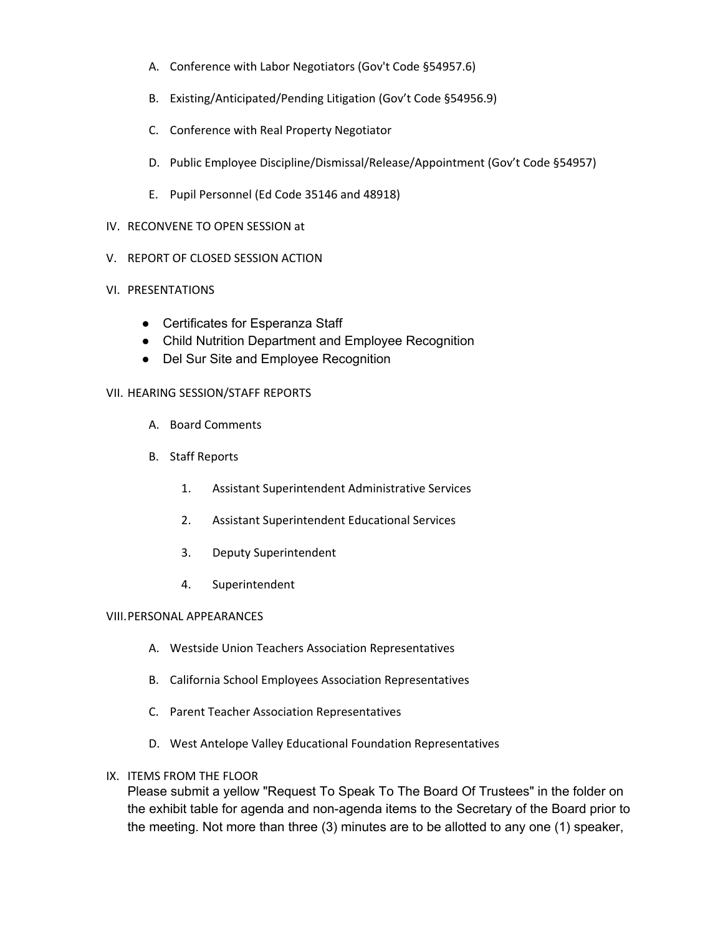- A. Conference with Labor Negotiators (Gov't Code §54957.6)
- B. Existing/Anticipated/Pending Litigation (Gov't Code §54956.9)
- C. Conference with Real Property Negotiator
- D. Public Employee Discipline/Dismissal/Release/Appointment (Gov't Code §54957)
- E. Pupil Personnel (Ed Code 35146 and 48918)

#### IV. RECONVENE TO OPEN SESSION at

V. REPORT OF CLOSED SESSION ACTION

#### VI. PRESENTATIONS

- Certificates for Esperanza Staff
- Child Nutrition Department and Employee Recognition
- Del Sur Site and Employee Recognition

#### VII. HEARING SESSION/STAFF REPORTS

- A. Board Comments
- B. Staff Reports
	- 1. Assistant Superintendent Administrative Services
	- 2. Assistant Superintendent Educational Services
	- 3. Deputy Superintendent
	- 4. Superintendent

#### VIII.PERSONAL APPEARANCES

- A. Westside Union Teachers Association Representatives
- B. California School Employees Association Representatives
- C. Parent Teacher Association Representatives
- D. West Antelope Valley Educational Foundation Representatives
- IX. ITEMS FROM THE FLOOR

Please submit a yellow "Request To Speak To The Board Of Trustees" in the folder on the exhibit table for agenda and non-agenda items to the Secretary of the Board prior to the meeting. Not more than three (3) minutes are to be allotted to any one (1) speaker,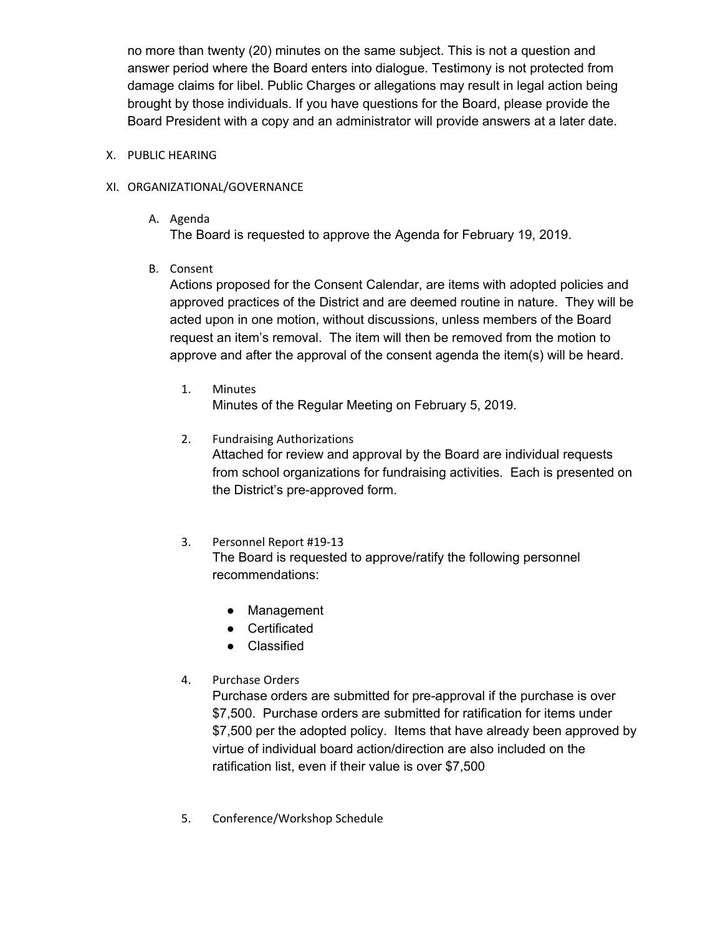no more than twenty (20) minutes on the same subject. This is not a question and answer period where the Board enters into dialogue. Testimony is not protected from damage claims for libel. Public Charges or allegations may result in legal action being brought by those individuals. If you have questions for the Board, please provide the Board President with a copy and an administrator will provide answers at a later date.

### X. PUBLIC HEARING

### XI. ORGANIZATIONAL/GOVERNANCE

A. Agenda

The Board is requested to approve the Agenda for February 19, 2019.

B. Consent

Actions proposed for the Consent Calendar, are items with adopted policies and approved practices of the District and are deemed routine in nature. They will be acted upon in one motion, without discussions, unless members of the Board request an item's removal. The item will then be removed from the motion to approve and after the approval of the consent agenda the item(s) will be heard.

- 1. Minutes Minutes of the Regular Meeting on February 5, 2019.
- 2. Fundraising Authorizations

Attached for review and approval by the Board are individual requests from school organizations for fundraising activities. Each is presented on the District's pre-approved form.

- 3. Personnel Report #19-13 The Board is requested to approve/ratify the following personnel recommendations:
	- Management
	- Certificated
	- Classified
- 4. Purchase Orders

Purchase orders are submitted for pre-approval if the purchase is over \$7,500. Purchase orders are submitted for ratification for items under \$7,500 per the adopted policy. Items that have already been approved by virtue of individual board action/direction are also included on the ratification list, even if their value is over \$7,500

5. Conference/Workshop Schedule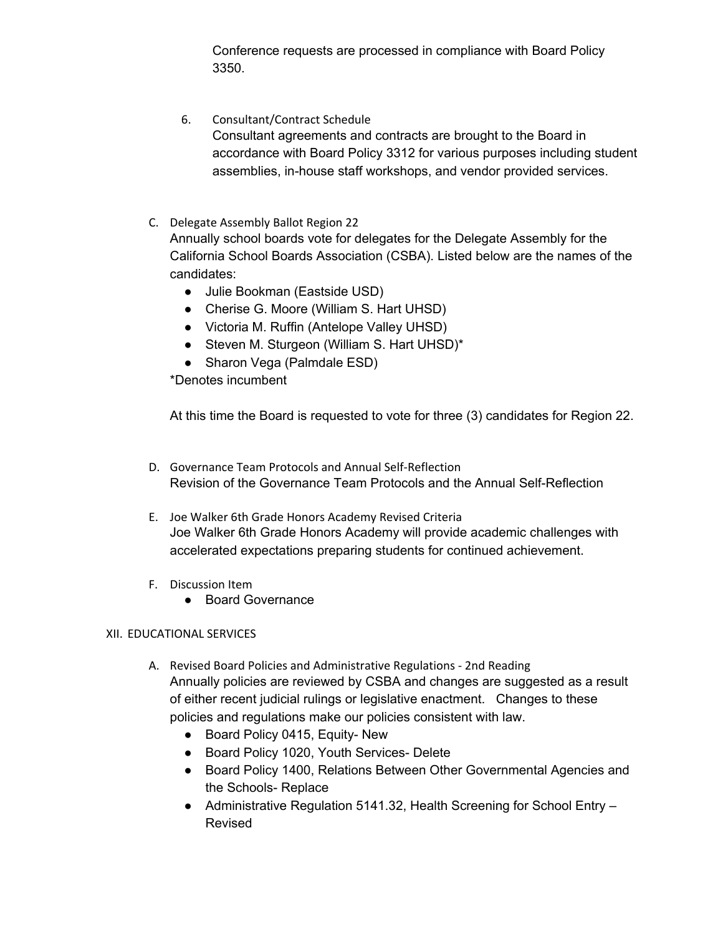Conference requests are processed in compliance with Board Policy 3350.

- 6. Consultant/Contract Schedule Consultant agreements and contracts are brought to the Board in accordance with Board Policy 3312 for various purposes including student assemblies, in-house staff workshops, and vendor provided services.
- C. Delegate Assembly Ballot Region 22 Annually school boards vote for delegates for the Delegate Assembly for the California School Boards Association (CSBA). Listed below are the names of the candidates:
	- Julie Bookman (Eastside USD)
	- Cherise G. Moore (William S. Hart UHSD)
	- Victoria M. Ruffin (Antelope Valley UHSD)
	- Steven M. Sturgeon (William S. Hart UHSD)\*
	- Sharon Vega (Palmdale ESD)

\*Denotes incumbent

At this time the Board is requested to vote for three (3) candidates for Region 22.

- D. Governance Team Protocols and Annual Self-Reflection Revision of the Governance Team Protocols and the Annual Self-Reflection
- E. Joe Walker 6th Grade Honors Academy Revised Criteria Joe Walker 6th Grade Honors Academy will provide academic challenges with accelerated expectations preparing students for continued achievement.
- F. Discussion Item
	- Board Governance

### XII. EDUCATIONAL SERVICES

- A. Revised Board Policies and Administrative Regulations 2nd Reading Annually policies are reviewed by CSBA and changes are suggested as a result of either recent judicial rulings or legislative enactment. Changes to these policies and regulations make our policies consistent with law.
	- Board Policy 0415, Equity- New
	- Board Policy 1020, Youth Services- Delete
	- Board Policy 1400, Relations Between Other Governmental Agencies and the Schools- Replace
	- Administrative Regulation 5141.32, Health Screening for School Entry Revised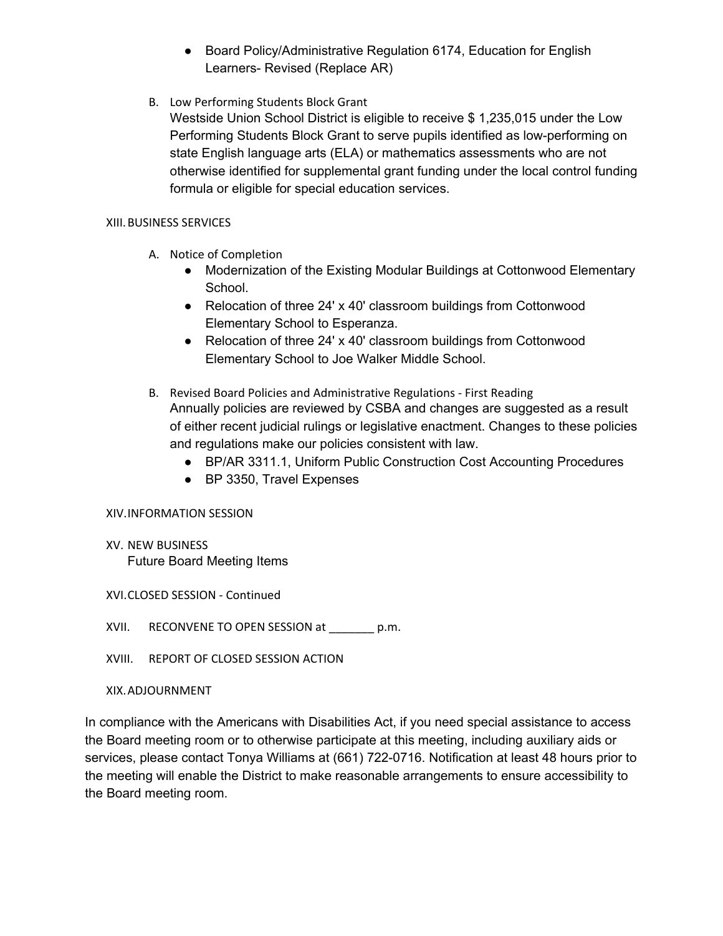- Board Policy/Administrative Regulation 6174, Education for English Learners- Revised (Replace AR)
- B. Low Performing Students Block Grant

Westside Union School District is eligible to receive \$ 1,235,015 under the Low Performing Students Block Grant to serve pupils identified as low-performing on state English language arts (ELA) or mathematics assessments who are not otherwise identified for supplemental grant funding under the local control funding formula or eligible for special education services.

### XIII.BUSINESS SERVICES

- A. Notice of Completion
	- Modernization of the Existing Modular Buildings at Cottonwood Elementary School.
	- Relocation of three 24' x 40' classroom buildings from Cottonwood Elementary School to Esperanza.
	- Relocation of three 24' x 40' classroom buildings from Cottonwood Elementary School to Joe Walker Middle School.
- B. Revised Board Policies and Administrative Regulations First Reading Annually policies are reviewed by CSBA and changes are suggested as a result of either recent judicial rulings or legislative enactment. Changes to these policies and regulations make our policies consistent with law.
	- BP/AR 3311.1, Uniform Public Construction Cost Accounting Procedures
	- BP 3350, Travel Expenses

### XIV.INFORMATION SESSION

XV. NEW BUSINESS Future Board Meeting Items

XVI.CLOSED SESSION - Continued

XVII. RECONVENE TO OPEN SESSION at \_\_\_\_\_\_\_ p.m.

XVIII. REPORT OF CLOSED SESSION ACTION

XIX.ADJOURNMENT

In compliance with the Americans with Disabilities Act, if you need special assistance to access the Board meeting room or to otherwise participate at this meeting, including auxiliary aids or services, please contact Tonya Williams at (661) 722-0716. Notification at least 48 hours prior to the meeting will enable the District to make reasonable arrangements to ensure accessibility to the Board meeting room.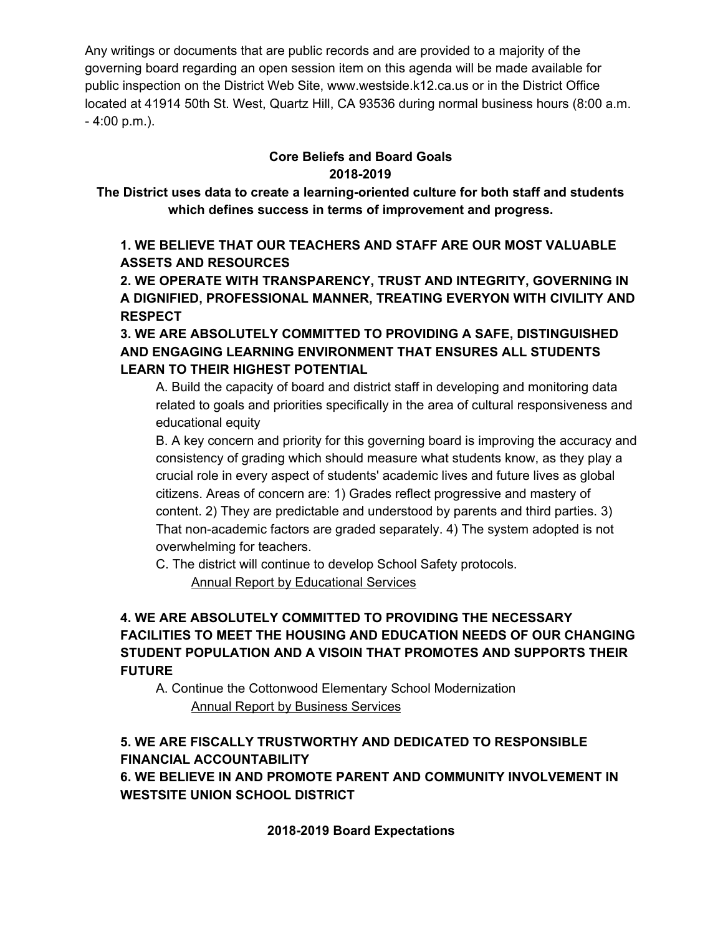Any writings or documents that are public records and are provided to a majority of the governing board regarding an open session item on this agenda will be made available for public inspection on the District Web Site, www.westside.k12.ca.us or in the District Office located at 41914 50th St. West, Quartz Hill, CA 93536 during normal business hours (8:00 a.m. - 4:00 p.m.).

## **Core Beliefs and Board Goals 2018-2019**

**The District uses data to create a learning-oriented culture for both staff and students which defines success in terms of improvement and progress.**

**1. WE BELIEVE THAT OUR TEACHERS AND STAFF ARE OUR MOST VALUABLE ASSETS AND RESOURCES**

**2. WE OPERATE WITH TRANSPARENCY, TRUST AND INTEGRITY, GOVERNING IN A DIGNIFIED, PROFESSIONAL MANNER, TREATING EVERYON WITH CIVILITY AND RESPECT**

**3. WE ARE ABSOLUTELY COMMITTED TO PROVIDING A SAFE, DISTINGUISHED AND ENGAGING LEARNING ENVIRONMENT THAT ENSURES ALL STUDENTS LEARN TO THEIR HIGHEST POTENTIAL**

A. Build the capacity of board and district staff in developing and monitoring data related to goals and priorities specifically in the area of cultural responsiveness and educational equity

B. A key concern and priority for this governing board is improving the accuracy and consistency of grading which should measure what students know, as they play a crucial role in every aspect of students' academic lives and future lives as global citizens. Areas of concern are: 1) Grades reflect progressive and mastery of content. 2) They are predictable and understood by parents and third parties. 3) That non-academic factors are graded separately. 4) The system adopted is not overwhelming for teachers.

C. The district will continue to develop School Safety protocols. Annual Report by Educational Services

## **4. WE ARE ABSOLUTELY COMMITTED TO PROVIDING THE NECESSARY FACILITIES TO MEET THE HOUSING AND EDUCATION NEEDS OF OUR CHANGING STUDENT POPULATION AND A VISOIN THAT PROMOTES AND SUPPORTS THEIR FUTURE**

A. Continue the Cottonwood Elementary School Modernization Annual Report by Business Services

## **5. WE ARE FISCALLY TRUSTWORTHY AND DEDICATED TO RESPONSIBLE FINANCIAL ACCOUNTABILITY 6. WE BELIEVE IN AND PROMOTE PARENT AND COMMUNITY INVOLVEMENT IN**

**WESTSITE UNION SCHOOL DISTRICT**

**2018-2019 Board Expectations**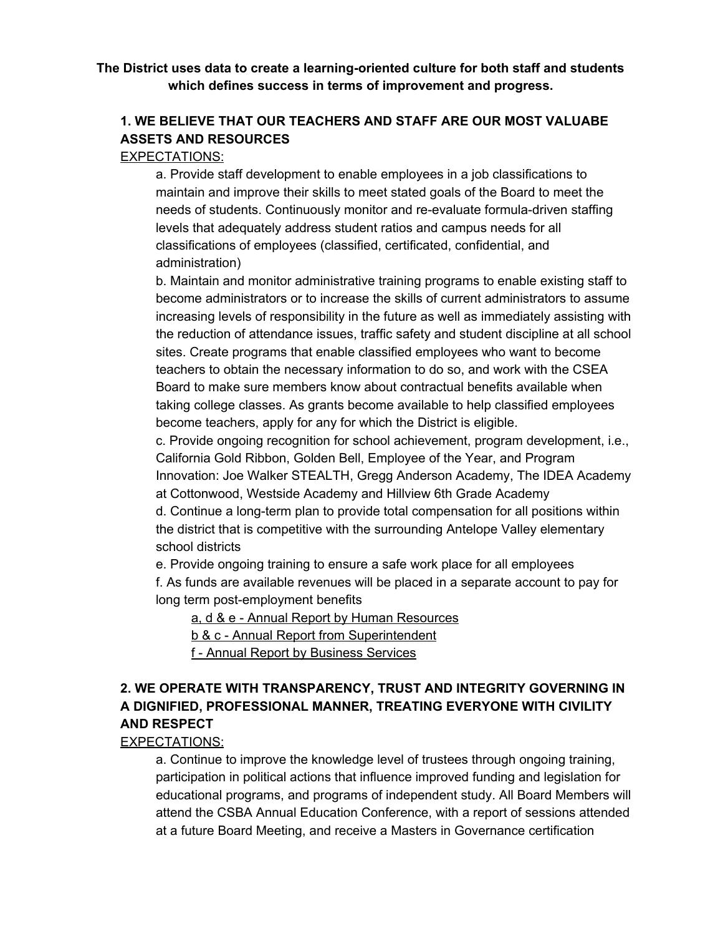### **The District uses data to create a learning-oriented culture for both staff and students which defines success in terms of improvement and progress.**

## **1. WE BELIEVE THAT OUR TEACHERS AND STAFF ARE OUR MOST VALUABE ASSETS AND RESOURCES**

### EXPECTATIONS:

a. Provide staff development to enable employees in a job classifications to maintain and improve their skills to meet stated goals of the Board to meet the needs of students. Continuously monitor and re-evaluate formula-driven staffing levels that adequately address student ratios and campus needs for all classifications of employees (classified, certificated, confidential, and administration)

b. Maintain and monitor administrative training programs to enable existing staff to become administrators or to increase the skills of current administrators to assume increasing levels of responsibility in the future as well as immediately assisting with the reduction of attendance issues, traffic safety and student discipline at all school sites. Create programs that enable classified employees who want to become teachers to obtain the necessary information to do so, and work with the CSEA Board to make sure members know about contractual benefits available when taking college classes. As grants become available to help classified employees become teachers, apply for any for which the District is eligible.

c. Provide ongoing recognition for school achievement, program development, i.e., California Gold Ribbon, Golden Bell, Employee of the Year, and Program Innovation: Joe Walker STEALTH, Gregg Anderson Academy, The IDEA Academy at Cottonwood, Westside Academy and Hillview 6th Grade Academy

d. Continue a long-term plan to provide total compensation for all positions within the district that is competitive with the surrounding Antelope Valley elementary school districts

e. Provide ongoing training to ensure a safe work place for all employees f. As funds are available revenues will be placed in a separate account to pay for long term post-employment benefits

a, d & e - Annual Report by Human Resources

b & c - Annual Report from Superintendent

f - Annual Report by Business Services

## **2. WE OPERATE WITH TRANSPARENCY, TRUST AND INTEGRITY GOVERNING IN A DIGNIFIED, PROFESSIONAL MANNER, TREATING EVERYONE WITH CIVILITY AND RESPECT**

### EXPECTATIONS:

a. Continue to improve the knowledge level of trustees through ongoing training, participation in political actions that influence improved funding and legislation for educational programs, and programs of independent study. All Board Members will attend the CSBA Annual Education Conference, with a report of sessions attended at a future Board Meeting, and receive a Masters in Governance certification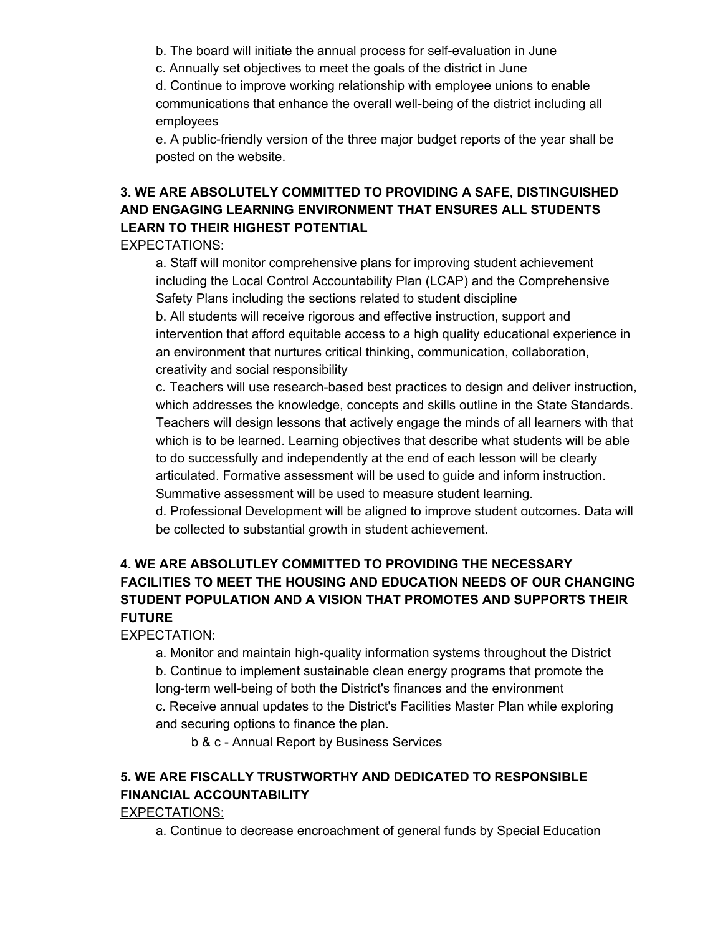- b. The board will initiate the annual process for self-evaluation in June
- c. Annually set objectives to meet the goals of the district in June

d. Continue to improve working relationship with employee unions to enable communications that enhance the overall well-being of the district including all employees

e. A public-friendly version of the three major budget reports of the year shall be posted on the website.

# **3. WE ARE ABSOLUTELY COMMITTED TO PROVIDING A SAFE, DISTINGUISHED AND ENGAGING LEARNING ENVIRONMENT THAT ENSURES ALL STUDENTS LEARN TO THEIR HIGHEST POTENTIAL**

### EXPECTATIONS:

a. Staff will monitor comprehensive plans for improving student achievement including the Local Control Accountability Plan (LCAP) and the Comprehensive Safety Plans including the sections related to student discipline

b. All students will receive rigorous and effective instruction, support and intervention that afford equitable access to a high quality educational experience in an environment that nurtures critical thinking, communication, collaboration, creativity and social responsibility

c. Teachers will use research-based best practices to design and deliver instruction, which addresses the knowledge, concepts and skills outline in the State Standards. Teachers will design lessons that actively engage the minds of all learners with that which is to be learned. Learning objectives that describe what students will be able to do successfully and independently at the end of each lesson will be clearly articulated. Formative assessment will be used to guide and inform instruction. Summative assessment will be used to measure student learning.

d. Professional Development will be aligned to improve student outcomes. Data will be collected to substantial growth in student achievement.

## **4. WE ARE ABSOLUTLEY COMMITTED TO PROVIDING THE NECESSARY FACILITIES TO MEET THE HOUSING AND EDUCATION NEEDS OF OUR CHANGING STUDENT POPULATION AND A VISION THAT PROMOTES AND SUPPORTS THEIR FUTURE**

### EXPECTATION:

a. Monitor and maintain high-quality information systems throughout the District b. Continue to implement sustainable clean energy programs that promote the long-term well-being of both the District's finances and the environment c. Receive annual updates to the District's Facilities Master Plan while exploring and securing options to finance the plan.

b & c - Annual Report by Business Services

# **5. WE ARE FISCALLY TRUSTWORTHY AND DEDICATED TO RESPONSIBLE FINANCIAL ACCOUNTABILITY**

EXPECTATIONS:

a. Continue to decrease encroachment of general funds by Special Education